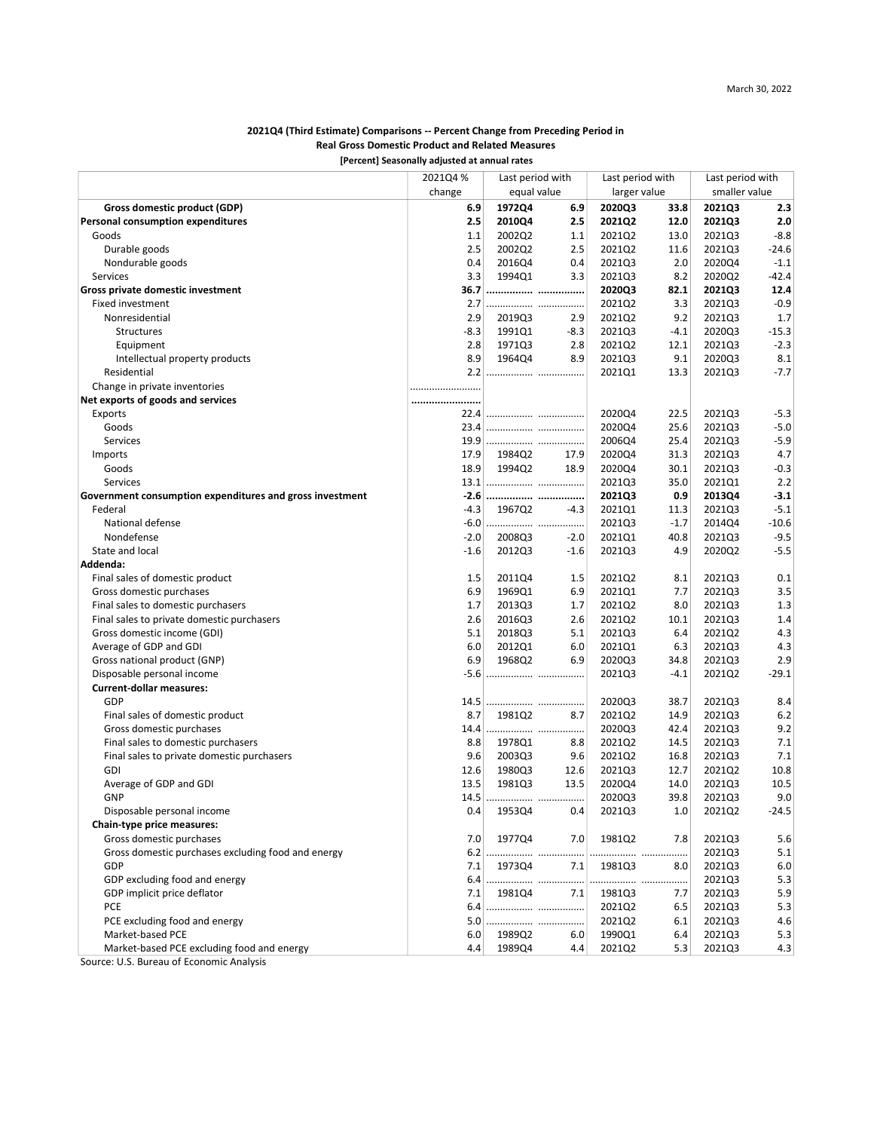### [Percent] Seasonally adjusted at annual rates 2021Q4 (Third Estimate) Comparisons -- Percent Change from Preceding Period in Real Gross Domestic Product and Related Measures

|                                                                                        | percent seasonary adjusted at annual rates |                  |            |                  |        |                  |         |
|----------------------------------------------------------------------------------------|--------------------------------------------|------------------|------------|------------------|--------|------------------|---------|
|                                                                                        | 2021Q4 %                                   | Last period with |            | Last period with |        | Last period with |         |
|                                                                                        | change                                     | equal value      |            | larger value     |        | smaller value    |         |
| Gross domestic product (GDP)                                                           | 6.9                                        | 1972Q4           | 6.9        | 2020Q3           | 33.8   | 2021Q3           | 2.3     |
| Personal consumption expenditures                                                      | 2.5                                        | 2010Q4           | 2.5        | 2021Q2           | 12.0   | 2021Q3           | 2.0     |
| Goods                                                                                  | 1.1                                        | 2002Q2           | 1.1        | 2021Q2           | 13.0   | 2021Q3           | $-8.8$  |
| Durable goods                                                                          | 2.5                                        | 2002Q2           | 2.5        | 2021Q2           | 11.6   | 2021Q3           | $-24.6$ |
| Nondurable goods                                                                       | 0.4                                        | 2016Q4           | 0.4        | 2021Q3           | 2.0    | 2020Q4           | $-1.1$  |
| Services                                                                               | 3.3                                        | 1994Q1           | 3.3        | 2021Q3           | 8.2    | 2020Q2           | -42.4   |
| Gross private domestic investment                                                      | 36.7                                       |                  |            | 2020Q3           | 82.1   | 2021Q3           | 12.4    |
| <b>Fixed investment</b>                                                                | 2.7                                        |                  |            | 2021Q2           | 3.3    | 2021Q3           | $-0.9$  |
| Nonresidential                                                                         | 2.9                                        | 2019Q3           | 2.9        | 2021Q2           | 9.2    | 2021Q3           | 1.7     |
| Structures                                                                             | -8.3                                       | 1991Q1           | $-8.3$     | 2021Q3           | $-4.1$ | 2020Q3           | $-15.3$ |
| Equipment                                                                              | 2.8                                        | 1971Q3           | 2.8        | 2021Q2           | 12.1   | 2021Q3           | $-2.3$  |
| Intellectual property products                                                         | 8.9                                        | 1964Q4           | 8.9        | 2021Q3           | 9.1    | 2020Q3           | 8.1     |
| Residential                                                                            |                                            |                  |            | 2021Q1           | 13.3   | 2021Q3           | $-7.7$  |
| Change in private inventories                                                          |                                            |                  |            |                  |        |                  |         |
| Net exports of goods and services                                                      |                                            |                  |            |                  |        |                  |         |
| Exports                                                                                | 22.4                                       |                  |            | 2020Q4           | 22.5   | 2021Q3           | $-5.3$  |
| Goods                                                                                  | 23.4                                       |                  |            | 2020Q4           | 25.6   | 2021Q3           | $-5.0$  |
| Services                                                                               | 19.9                                       |                  |            | 2006Q4           | 25.4   | 2021Q3           | $-5.9$  |
| Imports                                                                                | 17.9                                       | 1984Q2           | 17.9       | 2020Q4           | 31.3   | 2021Q3           | 4.7     |
| Goods                                                                                  | 18.9                                       | 1994Q2           | 18.9       | 2020Q4           | 30.1   | 2021Q3           | $-0.3$  |
| Services                                                                               |                                            |                  |            | 2021Q3           | 35.0   | 2021Q1           | 2.2     |
| Government consumption expenditures and gross investment                               |                                            |                  |            | 2021Q3           | 0.9    | 2013Q4           | $-3.1$  |
| Federal                                                                                | -4.3                                       | 1967Q2           | $-4.3$     | 2021Q1           | 11.3   | 2021Q3           | $-5.1$  |
| National defense                                                                       | $-6.0$                                     |                  |            | 2021Q3           | $-1.7$ | 2014Q4           | $-10.6$ |
| Nondefense                                                                             | $-2.0$                                     | 2008Q3           | $-2.0$     | 2021Q1           | 40.8   | 2021Q3           | $-9.5$  |
| State and local                                                                        | -1.6                                       | 2012Q3           | $-1.6$     | 2021Q3           | 4.9    | 2020Q2           | $-5.5$  |
| Addenda:                                                                               |                                            |                  |            |                  |        |                  |         |
| Final sales of domestic product                                                        | 1.5                                        | 2011Q4           | 1.5        | 2021Q2           | 8.1    | 2021Q3           | 0.1     |
| Gross domestic purchases                                                               | 6.9                                        | 1969Q1           | 6.9        | 2021Q1           | 7.7    | 2021Q3           | 3.5     |
| Final sales to domestic purchasers                                                     | 1.7                                        | 2013Q3           | 1.7        | 2021Q2           | 8.0    | 2021Q3           | 1.3     |
| Final sales to private domestic purchasers                                             | 2.6                                        | 2016Q3           | 2.6        | 2021Q2           | 10.1   | 2021Q3           | 1.4     |
| Gross domestic income (GDI)                                                            | 5.1                                        | 2018Q3           | 5.1        | 2021Q3           | 6.4    | 2021Q2           | 4.3     |
| Average of GDP and GDI                                                                 | 6.0                                        | 2012Q1           | 6.0        | 2021Q1           | 6.3    | 2021Q3           | 4.3     |
| Gross national product (GNP)                                                           | 6.9                                        | 1968Q2           | 6.9        | 2020Q3           | 34.8   | 2021Q3           | 2.9     |
| Disposable personal income                                                             |                                            |                  |            | 2021Q3           | $-4.1$ | 2021Q2           | $-29.1$ |
| <b>Current-dollar measures:</b>                                                        |                                            |                  |            |                  |        |                  |         |
| GDP                                                                                    | 14.5                                       |                  |            | 2020Q3           | 38.7   | 2021Q3           | 8.4     |
| Final sales of domestic product                                                        | 8.7                                        | 1981Q2           | 8.7        | 2021Q2           | 14.9   | 2021Q3           | 6.2     |
| Gross domestic purchases                                                               | 14.4                                       |                  |            | 2020Q3           | 42.4   | 2021Q3           | 9.2     |
|                                                                                        |                                            |                  |            |                  | 14.5   |                  |         |
| Final sales to domestic purchasers                                                     | 8.8<br>9.6                                 | 1978Q1           | 8.8<br>9.6 | 2021Q2           |        | 2021Q3           | 7.1     |
| Final sales to private domestic purchasers                                             |                                            | 2003Q3           |            | 2021Q2           | 16.8   | 2021Q3           | 7.1     |
| GDI                                                                                    | 12.6                                       | 1980Q3           | 12.6       | 2021Q3           | 12.7   | 2021Q2           | 10.8    |
| Average of GDP and GDI                                                                 | 13.5                                       | 1981Q3           | 13.5       | 2020Q4           | 14.0   | 2021Q3           | 10.5    |
| <b>GNP</b>                                                                             |                                            |                  |            | 2020Q3           | 39.8   | 2021Q3           | 9.0     |
| Disposable personal income                                                             | 0.4                                        | 1953Q4           | 0.4        | 2021Q3           | 1.0    | 2021Q2           | $-24.5$ |
| Chain-type price measures:                                                             |                                            |                  |            |                  |        |                  |         |
| Gross domestic purchases                                                               | 7.0                                        | 1977Q4           | 7.0        | 1981Q2           | 7.8    | 2021Q3           | 5.6     |
| Gross domestic purchases excluding food and energy                                     |                                            | $6.2$            |            |                  | .      | 2021Q3           | 5.1     |
| GDP                                                                                    | 7.1                                        | 1973Q4           | 7.1        | 198103           | 8.0    | 2021Q3           | $6.0\,$ |
| GDP excluding food and energy                                                          |                                            |                  |            |                  |        | 2021Q3           | 5.3     |
| GDP implicit price deflator                                                            | 7.1                                        | 1981Q4           | 7.1        | 1981Q3           | 7.7    | 2021Q3           | 5.9     |
| PCE                                                                                    |                                            |                  |            | 2021Q2           | 6.5    | 2021Q3           | 5.3     |
| PCE excluding food and energy                                                          |                                            |                  |            | 2021Q2           | 6.1    | 2021Q3           | 4.6     |
| Market-based PCE                                                                       | 6.0                                        | 1989Q2           | 6.0        | 1990Q1           | 6.4    | 2021Q3           | 5.3     |
| Market-based PCE excluding food and energy<br>Cource: U.S. Ruroau of Franomic Analysis | 4.4                                        | 1989Q4           | 4.4        | 2021Q2           | 5.3    | 2021Q3           | 4.3     |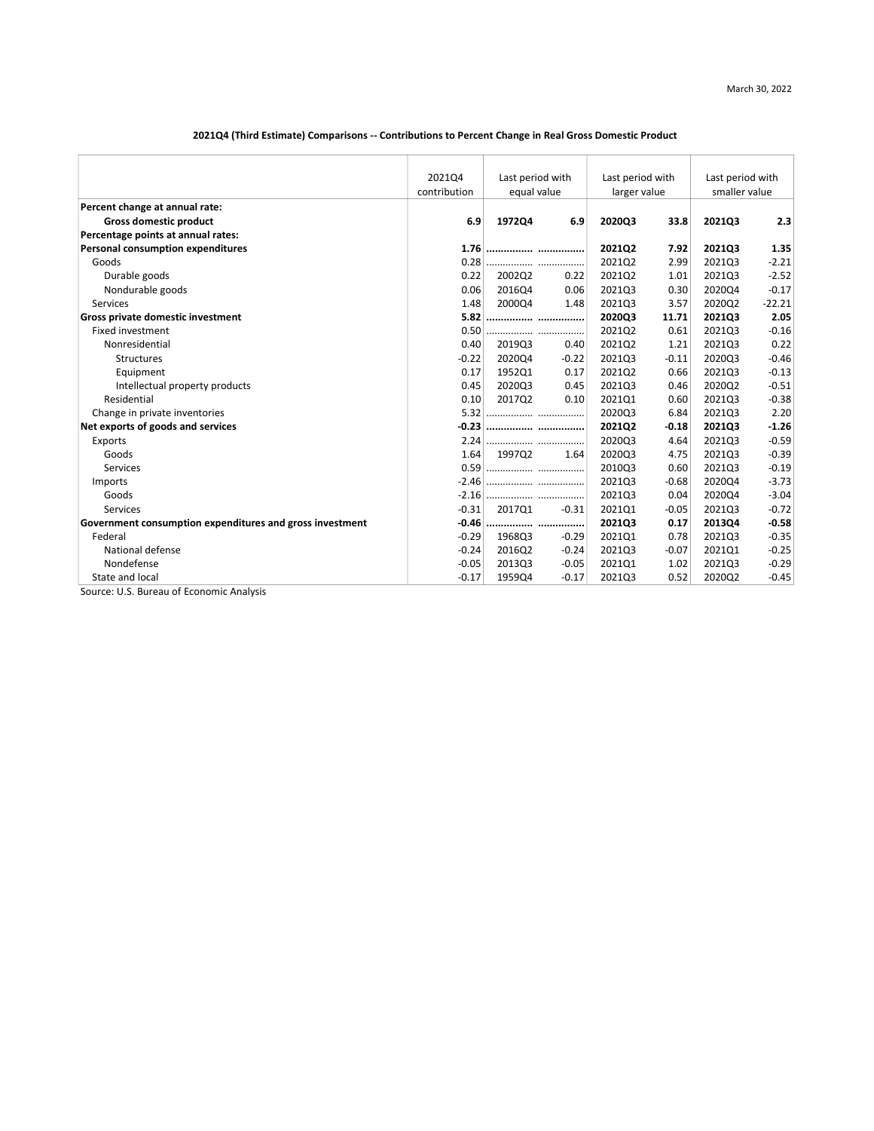### 2021Q4 (Third Estimate) Comparisons -- Contributions to Percent Change in Real Gross Domestic Product

|                                                          | 202104       | Last period with |         | Last period with |         | Last period with |          |
|----------------------------------------------------------|--------------|------------------|---------|------------------|---------|------------------|----------|
|                                                          | contribution | equal value      |         | larger value     |         | smaller value    |          |
| Percent change at annual rate:                           |              |                  |         |                  |         |                  |          |
| <b>Gross domestic product</b>                            | 6.9          | 197204           | 6.9     | 2020Q3           | 33.8    | 202103           | 2.3      |
| Percentage points at annual rates:                       |              |                  |         |                  |         |                  |          |
| <b>Personal consumption expenditures</b>                 |              | 1.76             |         | 2021Q2           | 7.92    | 2021Q3           | 1.35     |
| Goods                                                    | 0.28         |                  |         | 202102           | 2.99    | 202103           | $-2.21$  |
| Durable goods                                            | 0.22         | 2002Q2           | 0.22    | 202102           | 1.01    | 202103           | $-2.52$  |
| Nondurable goods                                         | 0.06         | 2016Q4           | 0.06    | 202103           | 0.30    | 202004           | $-0.17$  |
| Services                                                 | 1.48         | 2000Q4           | 1.48    | 2021Q3           | 3.57    | 2020Q2           | $-22.21$ |
| Gross private domestic investment                        | 5.82         |                  |         | 2020Q3           | 11.71   | 202103           | 2.05     |
| <b>Fixed investment</b>                                  | 0.50         |                  |         | 202102           | 0.61    | 202103           | $-0.16$  |
| Nonresidential                                           | 0.40         | 201903           | 0.40    | 202102           | 1.21    | 202103           | 0.22     |
| <b>Structures</b>                                        | $-0.22$      | 2020Q4           | $-0.22$ | 2021Q3           | $-0.11$ | 2020Q3           | $-0.46$  |
| Equipment                                                | 0.17         | 1952Q1           | 0.17    | 2021Q2           | 0.66    | 2021Q3           | $-0.13$  |
| Intellectual property products                           | 0.45         | 202003           | 0.45    | 202103           | 0.46    | 202002           | $-0.51$  |
| Residential                                              | 0.10         | 201702           | 0.10    | 202101           | 0.60    | 202103           | $-0.38$  |
| Change in private inventories                            | 5.32         |                  |         | 202003           | 6.84    | 202103           | 2.20     |
| Net exports of goods and services                        |              |                  |         | 202102           | $-0.18$ | 202103           | $-1.26$  |
| Exports                                                  | 2.24         |                  |         | 2020Q3           | 4.64    | 2021Q3           | $-0.59$  |
| Goods                                                    | 1.64         | 199702           | 1.64    | 202003           | 4.75    | 202103           | $-0.39$  |
| Services                                                 |              |                  |         | 201003           | 0.60    | 202103           | $-0.19$  |
| Imports                                                  |              |                  |         | 202103           | $-0.68$ | 2020Q4           | $-3.73$  |
| Goods                                                    |              |                  |         | 202103           | 0.04    | 202004           | $-3.04$  |
| Services                                                 | $-0.31$      | 201701           | $-0.31$ | 202101           | $-0.05$ | 202103           | $-0.72$  |
| Government consumption expenditures and gross investment | $-0.46$      |                  |         | 2021Q3           | 0.17    | 201304           | $-0.58$  |
| Federal                                                  | $-0.29$      | 1968Q3           | $-0.29$ | 2021Q1           | 0.78    | 202103           | $-0.35$  |
| National defense                                         | $-0.24$      | 201602           | $-0.24$ | 202103           | $-0.07$ | 2021Q1           | $-0.25$  |
| Nondefense                                               | $-0.05$      | 201303           | $-0.05$ | 202101           | 1.02    | 202103           | $-0.29$  |
| State and local<br>$\sim$ $-$                            | $-0.17$      | 195904           | $-0.17$ | 2021Q3           | 0.52    | 2020Q2           | $-0.45$  |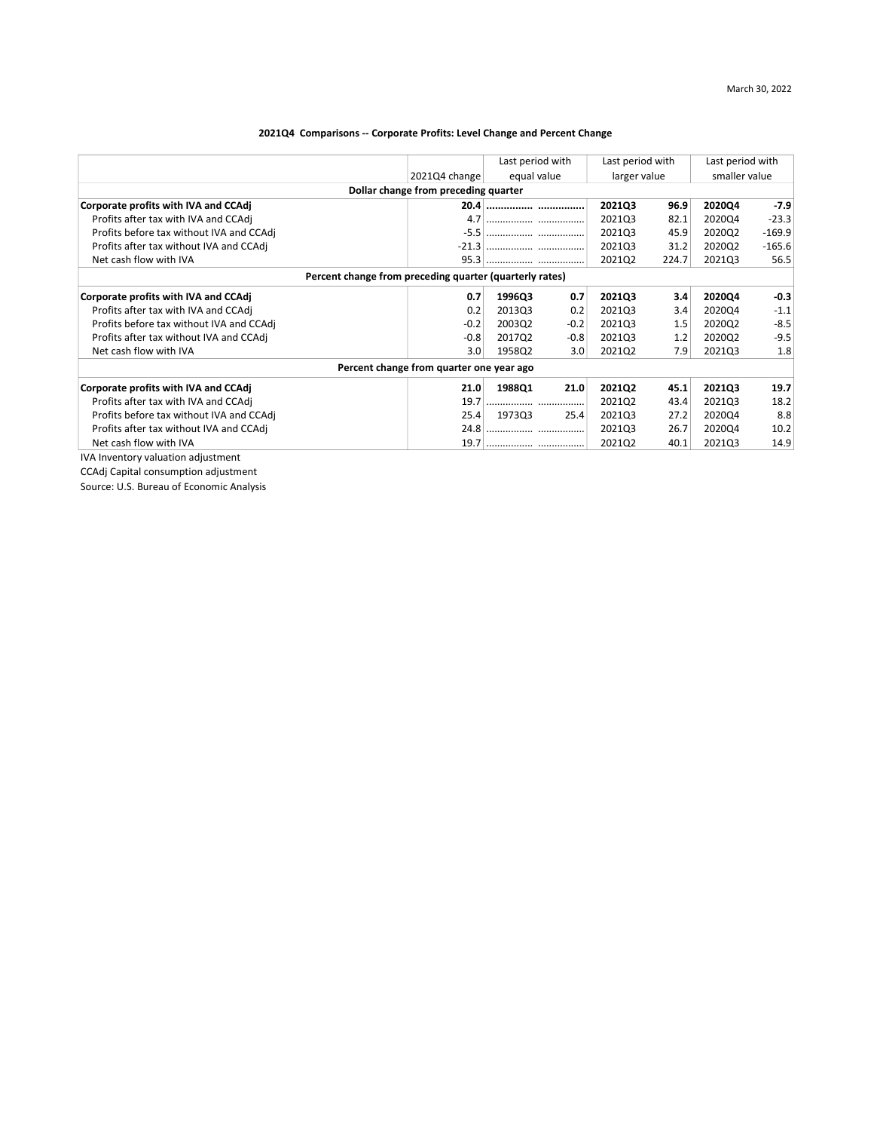# 2021Q4 Comparisons -- Corporate Profits: Level Change and Percent Change

|                                          |                                                         |             | Last period with<br>Last period with |              |       | Last period with |          |
|------------------------------------------|---------------------------------------------------------|-------------|--------------------------------------|--------------|-------|------------------|----------|
|                                          | 2021Q4 change                                           | equal value |                                      | larger value |       | smaller value    |          |
|                                          | Dollar change from preceding quarter                    |             |                                      |              |       |                  |          |
| Corporate profits with IVA and CCAdj     |                                                         |             |                                      | 2021Q3       | 96.9  | 2020Q4           | $-7.9$   |
| Profits after tax with IVA and CCAdj     | 4.7                                                     |             |                                      | 2021Q3       | 82.1  | 202004           | $-23.3$  |
| Profits before tax without IVA and CCAdj |                                                         |             |                                      | 2021Q3       | 45.9  | 2020Q2           | $-169.9$ |
| Profits after tax without IVA and CCAdj  |                                                         |             |                                      | 202103       | 31.2  | 2020Q2           | $-165.6$ |
| Net cash flow with IVA                   |                                                         |             |                                      | 2021Q2       | 224.7 | 2021Q3           | 56.5     |
|                                          | Percent change from preceding quarter (quarterly rates) |             |                                      |              |       |                  |          |
| Corporate profits with IVA and CCAdj     | 0.7                                                     | 1996Q3      | 0.7                                  | 2021Q3       | 3.4   | 2020Q4           | $-0.3$   |
| Profits after tax with IVA and CCAdj     | 0.2                                                     | 2013Q3      | 0.2                                  | 2021Q3       | 3.4   | 2020Q4           | $-1.1$   |
| Profits before tax without IVA and CCAdj | $-0.2$                                                  | 2003Q2      | $-0.2$                               | 2021Q3       | 1.5   | 2020Q2           | $-8.5$   |
| Profits after tax without IVA and CCAdj  | $-0.8$                                                  | 2017Q2      | $-0.8$                               | 2021Q3       | 1.2   | 2020Q2           | $-9.5$   |
| Net cash flow with IVA                   | 3.0                                                     | 1958Q2      | 3.0                                  | 2021Q2       | 7.9   | 2021Q3           | 1.8      |
|                                          | Percent change from quarter one year ago                |             |                                      |              |       |                  |          |
| Corporate profits with IVA and CCAdj     | 21.0                                                    | 1988Q1      | 21.0                                 | 2021Q2       | 45.1  | 2021Q3           | 19.7     |
| Profits after tax with IVA and CCAdj     | 19.7                                                    |             |                                      | 2021Q2       | 43.4  | 2021Q3           | 18.2     |
| Profits before tax without IVA and CCAdj | 25.4                                                    | 1973Q3      | 25.4                                 | 2021Q3       | 27.2  | 2020Q4           | 8.8      |
| Profits after tax without IVA and CCAdj  | 24.8                                                    |             |                                      | 2021Q3       | 26.7  | 2020Q4           | 10.2     |
| Net cash flow with IVA                   | 19.7                                                    |             |                                      | 2021Q2       | 40.1  | 2021Q3           | 14.9     |
| IVA Inventory valuation adjustment       |                                                         |             |                                      |              |       |                  |          |

CCAdj Capital consumption adjustment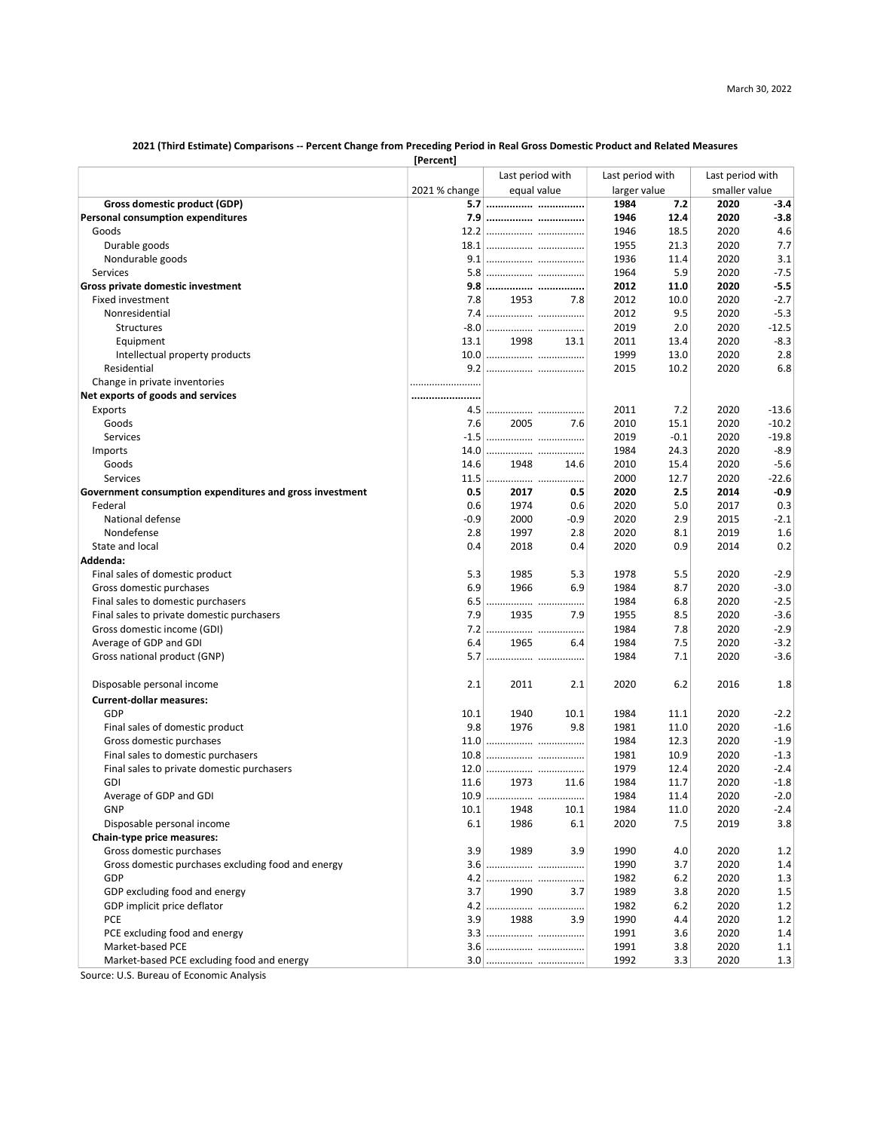#### 2021 (Third Estimate) Comparisons -- Percent Change from Preceding Period in Real Gross Domestic Product and Related Measures

|                                                          | [Percent]     |                  |                  |              |                  |               |
|----------------------------------------------------------|---------------|------------------|------------------|--------------|------------------|---------------|
|                                                          |               | Last period with | Last period with |              | Last period with |               |
|                                                          | 2021 % change | equal value      |                  | larger value |                  | smaller value |
| Gross domestic product (GDP)                             |               |                  | 1984             | 7.2          | 2020             | $-3.4$        |
| <b>Personal consumption expenditures</b>                 | 7.9           |                  | 1946             | 12.4         | 2020             | $-3.8$        |
| Goods                                                    |               |                  | 1946             | 18.5         | 2020             | 4.6           |
| Durable goods                                            |               |                  | 1955             | 21.3         | 2020             | 7.7           |
| Nondurable goods                                         |               |                  | 1936             | 11.4         | 2020             | 3.1           |
| Services                                                 |               |                  | 1964             | 5.9          | 2020             | $-7.5$        |
| Gross private domestic investment                        |               |                  | 2012             | 11.0         | 2020             | -5.5          |
| <b>Fixed investment</b>                                  | 7.8           | 1953             | 2012<br>7.8      | 10.0         | 2020             | $-2.7$        |
| Nonresidential                                           | 7.4           |                  | 2012             | 9.5          | 2020             | $-5.3$        |
| Structures                                               |               |                  | 2019             | 2.0          | 2020             | $-12.5$       |
| Equipment                                                | 13.1          | 1998<br>13.1     | 2011             | 13.4         | 2020             | $-8.3$        |
| Intellectual property products                           |               |                  | 1999             | 13.0         | 2020             | 2.8           |
| Residential                                              |               |                  | 2015             | 10.2         | 2020             | 6.8           |
| Change in private inventories                            |               |                  |                  |              |                  |               |
| Net exports of goods and services                        |               |                  |                  |              |                  |               |
| Exports                                                  | 4.5           |                  | 2011             | 7.2          | 2020             | $-13.6$       |
| Goods                                                    | 7.6           | 2005             | 7.6<br>2010      | 15.1         | 2020             | $-10.2$       |
| Services                                                 | $-1.5$        |                  | 2019             | $-0.1$       | 2020             | $-19.8$       |
| Imports                                                  | 14.0          |                  | 1984             | 24.3         | 2020             | $-8.9$        |
| Goods                                                    | 14.6          | 1948<br>14.6     | 2010             | 15.4         | 2020             | $-5.6$        |
| Services                                                 | 11.5          |                  | 2000             | 12.7         | 2020             | $-22.6$       |
| Government consumption expenditures and gross investment | 0.5           | 2017             | 2020<br>0.5      | 2.5          | 2014             | $-0.9$        |
| Federal                                                  | 0.6           | 1974             | 2020<br>0.6      | 5.0          | 2017             | 0.3           |
| National defense                                         | -0.9          | 2000             | 2020<br>$-0.9$   | 2.9          | 2015             | $-2.1$        |
| Nondefense                                               | 2.8           | 1997             | 2020<br>2.8      | 8.1          | 2019             | 1.6           |
| State and local                                          | 0.4           | 2018             | 2020<br>0.4      | 0.9          | 2014             | 0.2           |
| Addenda:                                                 |               |                  |                  |              |                  |               |
| Final sales of domestic product                          | 5.3           | 1985             | 5.3<br>1978      | 5.5          | 2020             | $-2.9$        |
| Gross domestic purchases                                 | 6.9           | 1966             | 6.9<br>1984      | 8.7          | 2020             | $-3.0$        |
| Final sales to domestic purchasers                       | 6.5           |                  | 1984             | 6.8          | 2020             | $-2.5$        |
| Final sales to private domestic purchasers               | 7.9           | 1935             | 7.9<br>1955      | 8.5          | 2020             | $-3.6$        |
| Gross domestic income (GDI)                              | 7.2           |                  | 1984             | 7.8          | 2020             | $-2.9$        |
| Average of GDP and GDI                                   | 6.4           | 1965             | 1984<br>6.4      | 7.5          | 2020             | $-3.2$        |
| Gross national product (GNP)                             | 5.7           |                  | 1984             | 7.1          | 2020             | $-3.6$        |
| Disposable personal income                               | 2.1           | 2011             | 2020<br>2.1      | 6.2          | 2016             | 1.8           |
| <b>Current-dollar measures:</b>                          |               |                  |                  |              |                  |               |
| GDP                                                      | 10.1          | 1940<br>10.1     | 1984             | 11.1         | 2020             | $-2.2$        |
| Final sales of domestic product                          | 9.8           | 1976             | 9.8<br>1981      | 11.0         | 2020             | $-1.6$        |
| Gross domestic purchases                                 | 11.0          |                  | 1984             | 12.3         | 2020             | $-1.9$        |
| Final sales to domestic purchasers                       | 10.8          |                  | 1981             | 10.9         | 2020             | $-1.3$        |
| Final sales to private domestic purchasers               | 12.0          |                  | 1979             | 12.4         | 2020             | $-2.4$        |
| GDI                                                      | 11.6          | 1973<br>11.6     | 1984             | 11.7         | 2020             | $-1.8$        |
| Average of GDP and GDI                                   | 10.9          | .                | 1984             | 11.4         | 2020             | $-2.0$        |
| GNP                                                      | 10.1          | 1948<br>10.1     | 1984             | 11.0         | 2020             | $-2.4$        |
| Disposable personal income                               | 6.1           | 1986             | 2020<br>6.1      | 7.5          | 2019             | 3.8           |
| Chain-type price measures:                               |               |                  |                  |              |                  |               |
| Gross domestic purchases                                 | 3.9           | 1989             | 3.9<br>1990      | 4.0          | 2020             | 1.2           |
| Gross domestic purchases excluding food and energy       |               |                  | 1990             | 3.7          | 2020             | 1.4           |
| GDP                                                      |               |                  | 1982             | 6.2          | 2020             | 1.3           |
| GDP excluding food and energy                            | 3.7           | 1990             | 1989<br>3.7      | 3.8          | 2020             | $1.5\,$       |
| GDP implicit price deflator                              |               |                  | 1982             | 6.2          | 2020             | 1.2           |
| PCE                                                      | 3.9           | 1988             | 1990<br>3.9      | 4.4          | 2020             | 1.2           |
| PCE excluding food and energy                            |               |                  | 1991             | 3.6          | 2020             | 1.4           |
| Market-based PCE                                         |               |                  | 1991             | 3.8          | 2020             | 1.1           |
| Market-based PCE excluding food and energy               |               |                  | 1992             | 3.3          | 2020             | 1.3           |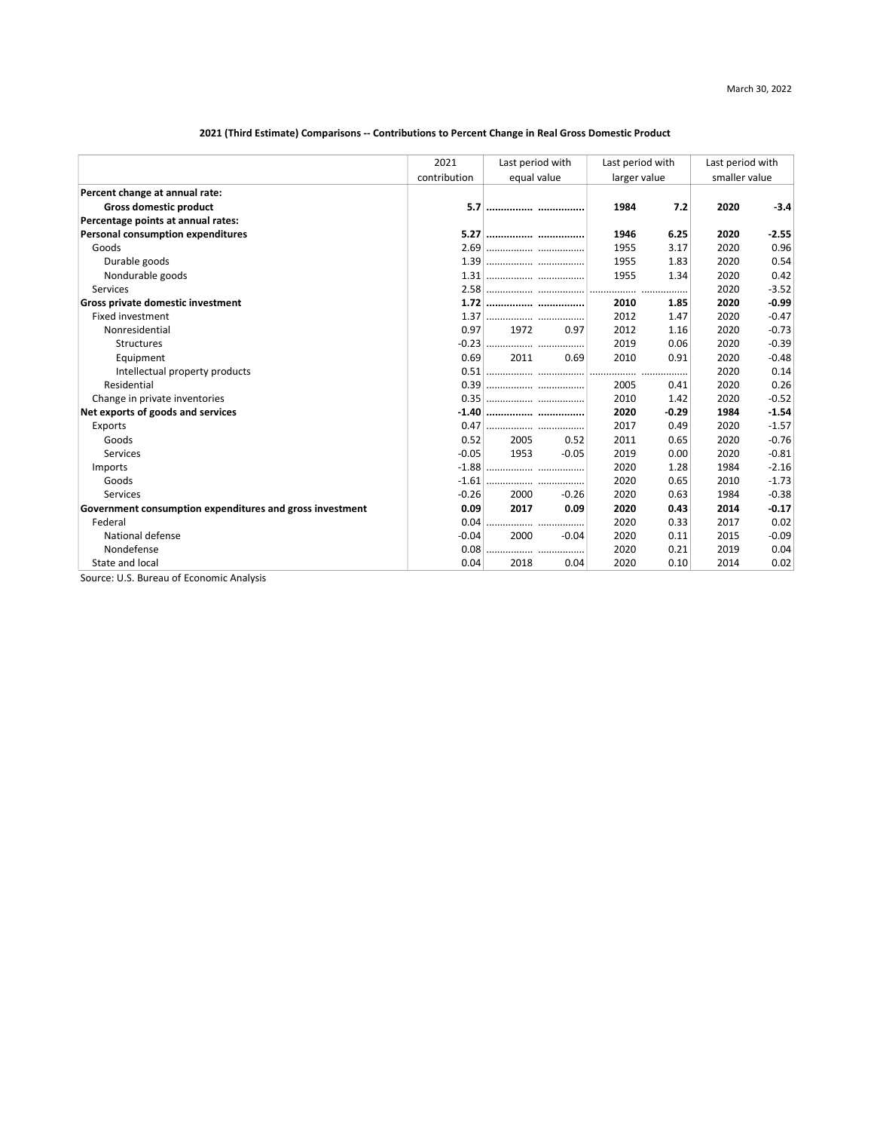# 2021 (Third Estimate) Comparisons -- Contributions to Percent Change in Real Gross Domestic Product

|                                                          | 2021         | Last period with | Last period with<br>larger value |         | Last period with |         |  |
|----------------------------------------------------------|--------------|------------------|----------------------------------|---------|------------------|---------|--|
|                                                          | contribution | equal value      |                                  |         | smaller value    |         |  |
| Percent change at annual rate:                           |              |                  |                                  |         |                  |         |  |
| <b>Gross domestic product</b>                            | 5.7          |                  | 1984                             | 7.2     | 2020             | $-3.4$  |  |
| Percentage points at annual rates:                       |              |                  |                                  |         |                  |         |  |
| Personal consumption expenditures                        | 5.27         |                  | 1946                             | 6.25    | 2020             | $-2.55$ |  |
| Goods                                                    | 2.69         |                  | 1955                             | 3.17    | 2020             | 0.96    |  |
| Durable goods                                            |              |                  | 1955                             | 1.83    | 2020             | 0.54    |  |
| Nondurable goods                                         |              |                  | 1955                             | 1.34    | 2020             | 0.42    |  |
| Services                                                 |              |                  |                                  |         | 2020             | $-3.52$ |  |
| Gross private domestic investment                        | 1.72         |                  | 2010                             | 1.85    | 2020             | $-0.99$ |  |
| <b>Fixed investment</b>                                  | 1.37         |                  | 2012                             | 1.47    | 2020             | $-0.47$ |  |
| Nonresidential                                           | 0.97         | 1972<br>0.97     | 2012                             | 1.16    | 2020             | $-0.73$ |  |
| Structures                                               |              |                  | 2019                             | 0.06    | 2020             | $-0.39$ |  |
| Equipment                                                | 0.69         | 2011<br>0.69     | 2010                             | 0.91    | 2020             | $-0.48$ |  |
| Intellectual property products                           |              |                  | .                                |         | 2020             | 0.14    |  |
| Residential                                              |              |                  | 2005                             | 0.41    | 2020             | 0.26    |  |
| Change in private inventories                            |              |                  | 2010                             | 1.42    | 2020             | $-0.52$ |  |
| Net exports of goods and services                        |              |                  | 2020                             | $-0.29$ | 1984             | $-1.54$ |  |
| Exports                                                  | 0.47         |                  | 2017                             | 0.49    | 2020             | $-1.57$ |  |
| Goods                                                    | 0.52         | 2005<br>0.52     | 2011                             | 0.65    | 2020             | $-0.76$ |  |
| Services                                                 | $-0.05$      | 1953<br>$-0.05$  | 2019                             | 0.00    | 2020             | $-0.81$ |  |
| Imports                                                  |              |                  | 2020                             | 1.28    | 1984             | $-2.16$ |  |
| Goods                                                    | $-1.61$      |                  | 2020                             | 0.65    | 2010             | $-1.73$ |  |
| Services                                                 | $-0.26$      | 2000<br>$-0.26$  | 2020                             | 0.63    | 1984             | $-0.38$ |  |
| Government consumption expenditures and gross investment | 0.09         | 2017<br>0.09     | 2020                             | 0.43    | 2014             | $-0.17$ |  |
| Federal                                                  | 0.04         |                  | 2020                             | 0.33    | 2017             | 0.02    |  |
| National defense                                         | $-0.04$      | 2000<br>$-0.04$  | 2020                             | 0.11    | 2015             | $-0.09$ |  |
| Nondefense                                               | 0.08         |                  | 2020                             | 0.21    | 2019             | 0.04    |  |
| State and local                                          | 0.04         | 2018<br>0.04     | 2020                             | 0.10    | 2014             | 0.02    |  |